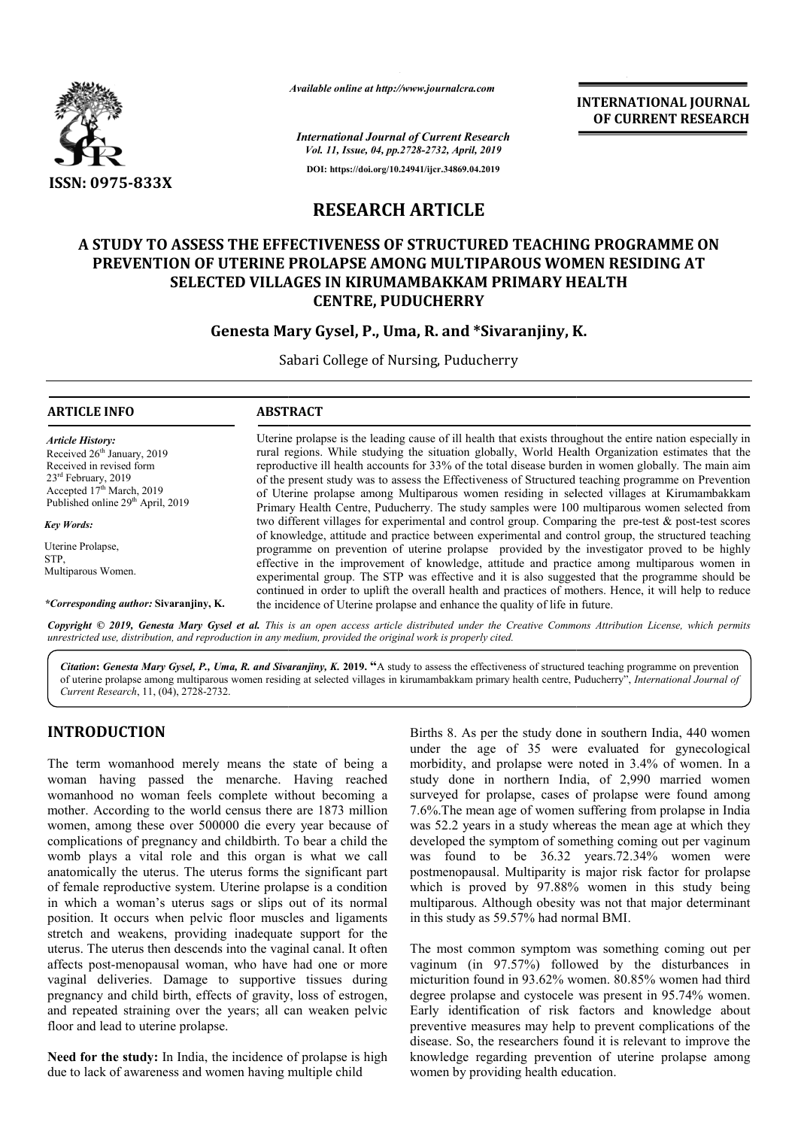

*Available online at http://www.journalcra.com*

**INTERNATIONAL JOURNAL OF CURRENT RESEARCH**

*International Journal of Current Research Vol. 11, Issue, 04, pp.2728-2732, April, 2019* **DOI: https://doi.org/10.24941/ijcr.34869.04.2019**

# **RESEARCH ARTICLE**

# **A STUDY TO ASSESS THE EFFECTIVENESS OF STRUCTURED TEACHING PROGRAMME ON PREVENTION OF UTERINE PROLAPSE AMONG MULTIPAROUS WOMEN RESIDING AT**  A STUDY TO ASSESS THE EFFECTIVENESS OF STRUCTURED TEACHING PROOR<br>PREVENTION OF UTERINE PROLAPSE AMONG MULTIPAROUS WOMEN RE<br>SELECTED VILLAGES IN KIRUMAMBAKKAM PRIMARY HEALTH **CENTRE, PUDUCHERRY**

# **Genesta Mary Gysel, P. P., Uma, R. and \*Sivaranjiny, K.**

Sabari College of Nursing, Puducherry

# **ARTICLE INFO ABSTRACT**

*Article History:* Received 26<sup>th</sup> January, 2019 Received in revised form 23rd February, 2019  $Accepted 17<sup>th</sup> March, 2019$ Published online 29<sup>th</sup> April, 2019

*Key Words:*

Uterine Prolapse, STP, Multiparous Women.

*\*Corresponding author:* **Sivaranjiny, K.**

Uterine prolapse is the leading cause of ill health that exists throughout the entire nation especially in rural regions. While studying the situation globally, World Health Organization estimates that the reproductive ill health accounts for 33% of the total disease burden in women globally. of the present study was to assess the Effectiveness of Structured teaching programme on Prevention of Uterine prolapse among Multiparous women residing in selected villages at Kirumambakkam Primary Health Centre, Puducherry. The study samples were 100 multiparous women selected from two different villages for experimental and control group. Comparing the pre-test & post-test scores of knowledge, attitude and practice between experimental and control group, the structured teaching programme on prevention of uterine prolapse provided by the investigator proved to be highly effective in the improvement of knowledge, attitude and practice among multiparous women in experimental group. The STP was effective and it is also suggested that the programme should be continued in order to uplift the overall health and practices of mothers. Hence, it will help to reduce the incidence of Uterine prolapse and enhance the quality of life in future. Uterine prolapse is the leading cause of ill health that exists throughout the entire nation especially in<br>rural regions. While studying the situation globally, World Health Organization estimates that the<br>reproductive ill of the present study was to assess the Effectiveness of Structured teaching programme on Prevention<br>of Uterine prolapse among Multiparous women residing in selected villages at Kirumambakkam<br>Primary Health Centre, Puducher programme on prevention of uterine prolapse provided by the investigator proved to be highly effective in the improvement of knowledge, attitude and practice among multiparous women in experimental group. The STP was effec

Copyright © 2019, Genesta Mary Gysel et al. This is an open access article distributed under the Creative Commons Attribution License, which permits *unrestricted use, distribution, and reproduction in any medium, provided the original work is properly cited.*

Citation: Genesta Mary Gysel, P., Uma, R. and Sivaranjiny, K. 2019. "A study to assess the effectiveness of structured teaching programme on prevention of uterine prolapse among multiparous women residing at selected villages in kirumambakkam primary health centre, Puducherry", *International Journal of Current Research*, 11, (04), 2728-2732.

# **INTRODUCTION**

The term womanhood merely means the state of being a woman having passed the menarche. Having reached womanhood no woman feels complete without becoming a mother. According to the world census there are 1873 million women, among these over 500000 die every year because of complications of pregnancy and childbirth. To bear a child the womb plays a vital role and this organ is what we call anatomically the uterus. The uterus forms the significant part of female reproductive system. Uterine prolapse is a condition in which a woman's uterus sags or slips out of its normal position. It occurs when pelvic floor muscles and ligaments stretch and weakens, providing inadequate support for the uterus. The uterus then descends into the vaginal canal. It often affects post-menopausal woman, who have had one or more vaginal deliveries. Damage to supportive tissues during pregnancy and child birth, effects of gravity, loss of estrogen, and repeated straining over the years; all can weaken pelvic floor and lead to uterine prolapse. etch and weakens, providing inadequate support for<br>erus. The uterus then descends into the vaginal canal. It if<br>ects post-menopausal woman, who have had one or iginal deliveries. Damage to supportive tissues di<br>egnancy and

**Need for the study:** In India, the incidence of prolapse is high due to lack of awareness and women having multiple child

Births 8. As per the study done in southern India, 440 women under the age of 35 were evaluated for gynecological morbidity, and prolapse were noted in 3.4% of women. In a study done in northern India, of 2,990 married women surveyed for prolapse, cases of prolapse were found among 7.6%.The mean age of women suffering from prolapse in India was 52.2 years in a study whereas the mean age at which they developed the symptom of something coming out per vaginum Births 8. As per the study done in southern India, 440 women<br>under the age of 35 were evaluated for gynecological<br>morbidity, and prolapse were noted in 3.4% of women. In a<br>study done in northern India, of 2,990 married wom postmenopausal. Multiparity is major risk factor for prolapse which is proved by 97.88% women in this study being multiparous. Although obesity was not that major determinant in this study as 59.57% had normal BMI. postmenopausal. Multiparity is major risk factor for prolapse<br>which is proved by 97.88% women in this study being<br>multiparous. Although obesity was not that major determinant<br>in this study as 59.57% had normal BMI.<br>The mos **VALUATE SOVER CONSUMMATE SOLUT AND CONSUMMATE CONSUMMATE CONSUMMATE CONSUMMATE CONSUMMATE CONSUMMATE CONSUMMATE CONSUMMATE STRUCTURED TEACHING PROGRAMME ON GON CONSUMMATE CONSUMMATE CONSUMMATE CONSUMMATE CONSUMMATE CONSUM** 

vaginum (in 97.57%) followed by the disturbances in micturition found in 93.62% women. 80.85% women had third degree prolapse and cystocele was present in 95.74% women. Early identification of risk factors and knowledge about preventive measures may help to prevent complications of the disease. So, the researchers found it is relevant to improve the knowledge regarding prevention of uterine prolapse among women by providing health education.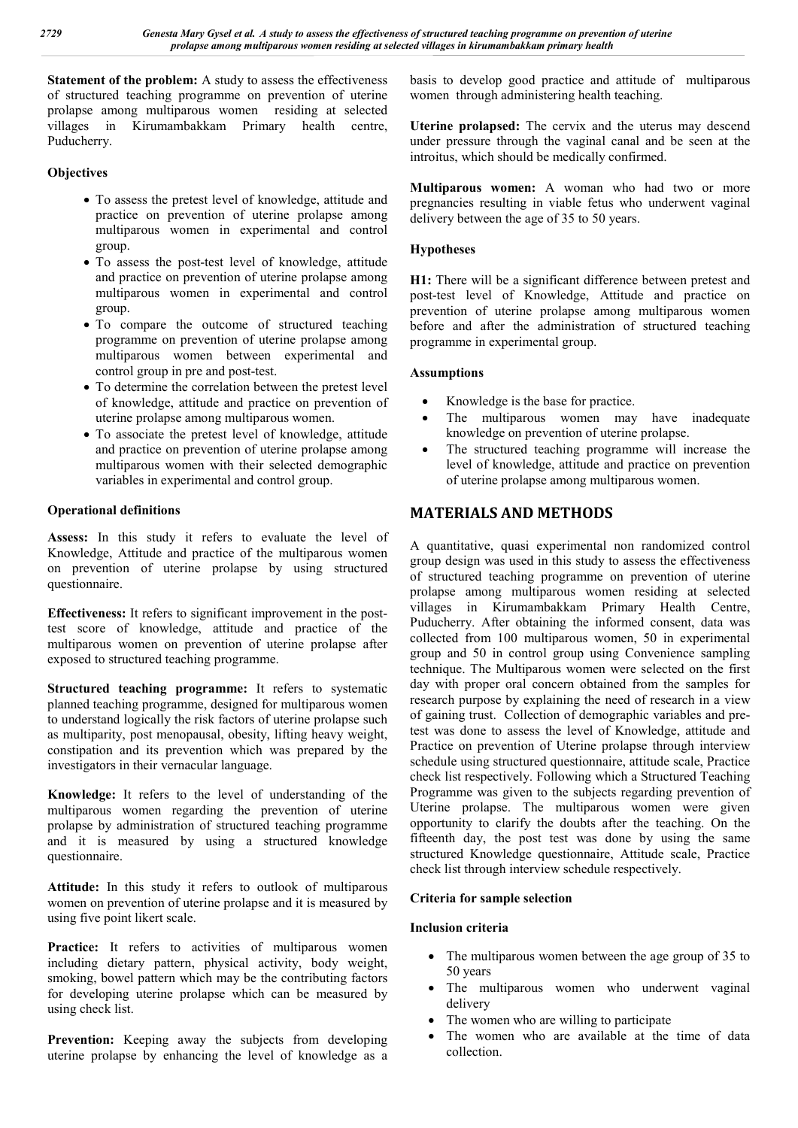**Statement of the problem:** A study to assess the effectiveness of structured teaching programme on prevention of uterine prolapse among multiparous women residing at selected villages in Kirumambakkam Primary health centre, Puducherry.

# **Objectives**

- To assess the pretest level of knowledge, attitude and practice on prevention of uterine prolapse among multiparous women in experimental and control group.
- To assess the post-test level of knowledge, attitude and practice on prevention of uterine prolapse among multiparous women in experimental and control group.
- To compare the outcome of structured teaching programme on prevention of uterine prolapse among multiparous women between experimental and control group in pre and post-test.
- To determine the correlation between the pretest level of knowledge, attitude and practice on prevention of uterine prolapse among multiparous women.
- To associate the pretest level of knowledge, attitude and practice on prevention of uterine prolapse among multiparous women with their selected demographic variables in experimental and control group.

# **Operational definitions**

**Assess:** In this study it refers to evaluate the level of Knowledge, Attitude and practice of the multiparous women on prevention of uterine prolapse by using structured questionnaire.

**Effectiveness:** It refers to significant improvement in the posttest score of knowledge, attitude and practice of the multiparous women on prevention of uterine prolapse after exposed to structured teaching programme.

**Structured teaching programme:** It refers to systematic planned teaching programme, designed for multiparous women to understand logically the risk factors of uterine prolapse such as multiparity, post menopausal, obesity, lifting heavy weight, constipation and its prevention which was prepared by the investigators in their vernacular language.

**Knowledge:** It refers to the level of understanding of the multiparous women regarding the prevention of uterine prolapse by administration of structured teaching programme and it is measured by using a structured knowledge questionnaire.

**Attitude:** In this study it refers to outlook of multiparous women on prevention of uterine prolapse and it is measured by using five point likert scale.

Practice: It refers to activities of multiparous women including dietary pattern, physical activity, body weight, smoking, bowel pattern which may be the contributing factors for developing uterine prolapse which can be measured by using check list.

Prevention: Keeping away the subjects from developing uterine prolapse by enhancing the level of knowledge as a

basis to develop good practice and attitude of multiparous women through administering health teaching.

**Uterine prolapsed:** The cervix and the uterus may descend under pressure through the vaginal canal and be seen at the introitus, which should be medically confirmed.

**Multiparous women:** A woman who had two or more pregnancies resulting in viable fetus who underwent vaginal delivery between the age of 35 to 50 years.

# **Hypotheses**

**H1:** There will be a significant difference between pretest and post-test level of Knowledge, Attitude and practice on prevention of uterine prolapse among multiparous women before and after the administration of structured teaching programme in experimental group.

### **Assumptions**

- Knowledge is the base for practice.
- The multiparous women may have inadequate knowledge on prevention of uterine prolapse.
- The structured teaching programme will increase the level of knowledge, attitude and practice on prevention of uterine prolapse among multiparous women.

# **MATERIALS AND METHODS**

A quantitative, quasi experimental non randomized control group design was used in this study to assess the effectiveness of structured teaching programme on prevention of uterine prolapse among multiparous women residing at selected villages in Kirumambakkam Primary Health Centre, Puducherry. After obtaining the informed consent, data was collected from 100 multiparous women, 50 in experimental group and 50 in control group using Convenience sampling technique. The Multiparous women were selected on the first day with proper oral concern obtained from the samples for research purpose by explaining the need of research in a view of gaining trust. Collection of demographic variables and pretest was done to assess the level of Knowledge, attitude and Practice on prevention of Uterine prolapse through interview schedule using structured questionnaire, attitude scale, Practice check list respectively. Following which a Structured Teaching Programme was given to the subjects regarding prevention of Uterine prolapse. The multiparous women were given opportunity to clarify the doubts after the teaching. On the fifteenth day, the post test was done by using the same structured Knowledge questionnaire, Attitude scale, Practice check list through interview schedule respectively.

#### **Criteria for sample selection**

#### **Inclusion criteria**

- The multiparous women between the age group of 35 to 50 years
- The multiparous women who underwent vaginal delivery
- The women who are willing to participate
- The women who are available at the time of data collection.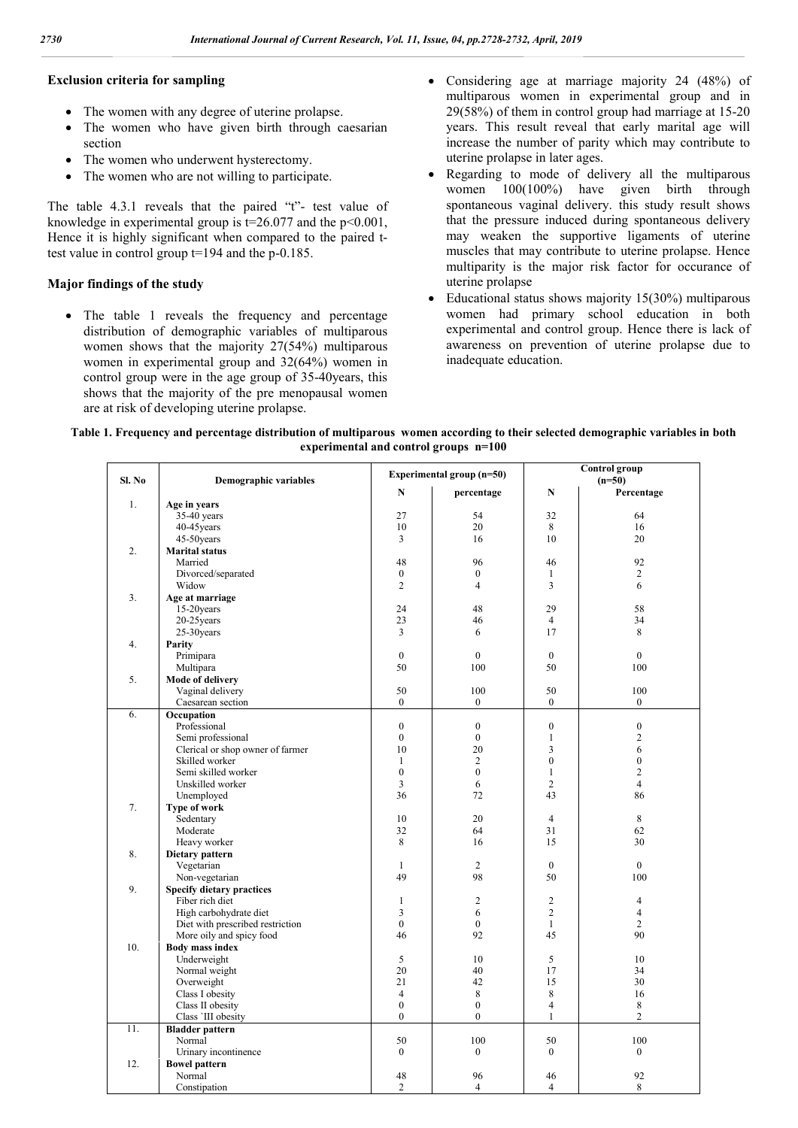#### **Exclusion criteria for sampling**

- The women with any degree of uterine prolapse.
- The women who have given birth through caesarian section
- The women who underwent hysterectomy.
- The women who are not willing to participate.

The table 4.3.1 reveals that the paired "t"- test value of knowledge in experimental group is  $t=26.077$  and the  $p<0.001$ , Hence it is highly significant when compared to the paired ttest value in control group t=194 and the p-0.185.

### **Major findings of the study**

• The table 1 reveals the frequency and percentage distribution of demographic variables of multiparous women shows that the majority 27(54%) multiparous women in experimental group and 32(64%) women in control group were in the age group of 35-40years, this shows that the majority of the pre menopausal women are at risk of developing uterine prolapse.

- Considering age at marriage majority 24 (48%) of multiparous women in experimental group and in 29(58%) of them in control group had marriage at 15-20 years. This result reveal that early marital age will increase the number of parity which may contribute to uterine prolapse in later ages.
- Regarding to mode of delivery all the multiparous women 100(100%) have given birth through spontaneous vaginal delivery. this study result shows that the pressure induced during spontaneous delivery may weaken the supportive ligaments of uterine muscles that may contribute to uterine prolapse. Hence multiparity is the major risk factor for occurance of uterine prolapse
- Educational status shows majority 15(30%) multiparous women had primary school education in both experimental and control group. Hence there is lack of awareness on prevention of uterine prolapse due to inadequate education.

| Table 1. Frequency and percentage distribution of multiparous women according to their selected demographic variables in both |
|-------------------------------------------------------------------------------------------------------------------------------|
| experimental and control groups $n=100$                                                                                       |

| Sl. No |     | <b>Demographic variables</b>     |                    | Experimental group (n=50) | Control group<br>$(n=50)$ |                      |  |  |
|--------|-----|----------------------------------|--------------------|---------------------------|---------------------------|----------------------|--|--|
|        |     |                                  | N                  | percentage                | N                         | Percentage           |  |  |
|        | 1.  | Age in years                     |                    |                           |                           |                      |  |  |
|        |     | $35-40$ years                    | 27                 | 54                        | 32                        | 64                   |  |  |
|        |     | 40-45 years                      | 10                 | 20                        | 8                         | 16                   |  |  |
|        |     | 45-50years                       | 3                  | 16                        | 10                        | 20                   |  |  |
|        | 2.  | <b>Marital status</b>            |                    |                           |                           |                      |  |  |
|        |     | Married                          | 48                 | 96                        | 46                        | 92                   |  |  |
|        |     | Divorced/separated               | $\mathbf{0}$       | $\boldsymbol{0}$          | $\mathbf{1}$              | $\overline{c}$       |  |  |
|        |     | Widow                            | $\overline{2}$     | $\overline{4}$            | $\overline{3}$            | 6                    |  |  |
|        | 3.  | Age at marriage                  |                    |                           |                           |                      |  |  |
|        |     | 15-20years                       | 24                 | 48                        | 29                        | 58                   |  |  |
|        |     | $20-25$ years                    | 23                 | 46                        | $\overline{4}$            | 34                   |  |  |
|        |     | 25-30years                       | 3                  | 6                         | 17                        | 8                    |  |  |
|        | 4.  | Parity                           |                    |                           |                           |                      |  |  |
|        |     | Primipara                        | $\mathbf{0}$       | $\mathbf{0}$              | $\mathbf{0}$              | $\mathbf{0}$         |  |  |
|        |     | Multipara                        | 50                 | 100                       | 50                        | 100                  |  |  |
|        | 5.  | <b>Mode of delivery</b>          |                    |                           |                           |                      |  |  |
|        |     | Vaginal delivery                 | 50                 | 100                       | 50                        | 100                  |  |  |
|        |     | Caesarean section                | $\mathbf{0}$       | $\overline{0}$            | $\mathbf{0}$              | $\boldsymbol{0}$     |  |  |
|        | 6.  | Occupation                       |                    |                           |                           |                      |  |  |
|        |     | Professional                     | $\boldsymbol{0}$   | $\boldsymbol{0}$          | $\boldsymbol{0}$          | $\boldsymbol{0}$     |  |  |
|        |     | Semi professional                | $\mathbf{0}$       | $\mathbf{0}$              | $\mathbf{1}$              | $\overline{c}$       |  |  |
|        |     | Clerical or shop owner of farmer | 10                 | 20                        | 3                         | 6                    |  |  |
|        |     | Skilled worker                   | $\mathbf{1}$       | $\overline{2}$            | $\theta$                  | $\mathbf{0}$         |  |  |
|        |     | Semi skilled worker              | $\mathbf{0}$       | $\mathbf{0}$              | $\mathbf{1}$              | $\overline{c}$       |  |  |
|        |     | Unskilled worker                 | $\overline{3}$     | 6                         | $\overline{2}$            | $\overline{4}$       |  |  |
|        |     | Unemployed                       | 36                 | 72                        | 43                        | 86                   |  |  |
|        | 7.  | Type of work                     |                    |                           |                           |                      |  |  |
|        |     | Sedentary                        | 10                 | 20                        | $\overline{4}$            | 8                    |  |  |
|        |     | Moderate                         | 32                 | 64                        | 31                        | 62                   |  |  |
|        |     | Heavy worker                     | 8                  | 16                        | 15                        | 30                   |  |  |
|        | 8.  |                                  |                    |                           |                           |                      |  |  |
|        |     | Dietary pattern                  | $\mathbf{1}$       | $\overline{2}$            | $\mathbf{0}$              | $\overline{0}$       |  |  |
|        |     | Vegetarian                       | 49                 | 98                        | 50                        | 100                  |  |  |
|        |     | Non-vegetarian                   |                    |                           |                           |                      |  |  |
|        | 9.  | <b>Specify dietary practices</b> |                    |                           |                           |                      |  |  |
|        |     | Fiber rich diet                  | $\mathbf{1}$       | $\overline{c}$            | $\overline{2}$            | $\overline{4}$       |  |  |
|        |     | High carbohydrate diet           | $\overline{3}$     | 6                         | $\overline{2}$            | $\overline{4}$       |  |  |
|        |     | Diet with prescribed restriction | $\mathbf{0}$<br>46 | $\overline{0}$<br>92      | $\mathbf{1}$<br>45        | $\overline{c}$<br>90 |  |  |
|        |     | More oily and spicy food         |                    |                           |                           |                      |  |  |
|        | 10. | <b>Body mass index</b>           |                    |                           |                           |                      |  |  |
|        |     | Underweight                      | 5                  | 10                        | 5                         | 10                   |  |  |
|        |     | Normal weight                    | 20                 | 40                        | 17                        | 34                   |  |  |
|        |     | Overweight                       | 21                 | 42                        | 15                        | 30                   |  |  |
|        |     | Class I obesity                  | $\overline{4}$     | 8                         | $\,8\,$                   | 16                   |  |  |
|        |     | Class II obesity                 | $\overline{0}$     | $\boldsymbol{0}$          | $\overline{4}$            | 8                    |  |  |
|        |     | Class 'III obesity               | $\overline{0}$     | $\mathbf{0}$              | $\mathbf{1}$              | $\overline{c}$       |  |  |
|        | 11. | <b>Bladder pattern</b>           |                    |                           |                           |                      |  |  |
|        |     | Normal                           | 50                 | 100                       | 50                        | 100                  |  |  |
|        |     | Urinary incontinence             | $\mathbf{0}$       | $\boldsymbol{0}$          | $\mathbf{0}$              | $\boldsymbol{0}$     |  |  |
|        | 12. | <b>Bowel pattern</b>             |                    |                           |                           |                      |  |  |
|        |     | Normal                           | 48                 | 96                        | 46                        | 92                   |  |  |
|        |     | Constipation                     | $\overline{2}$     | $\overline{4}$            | $\overline{4}$            | 8                    |  |  |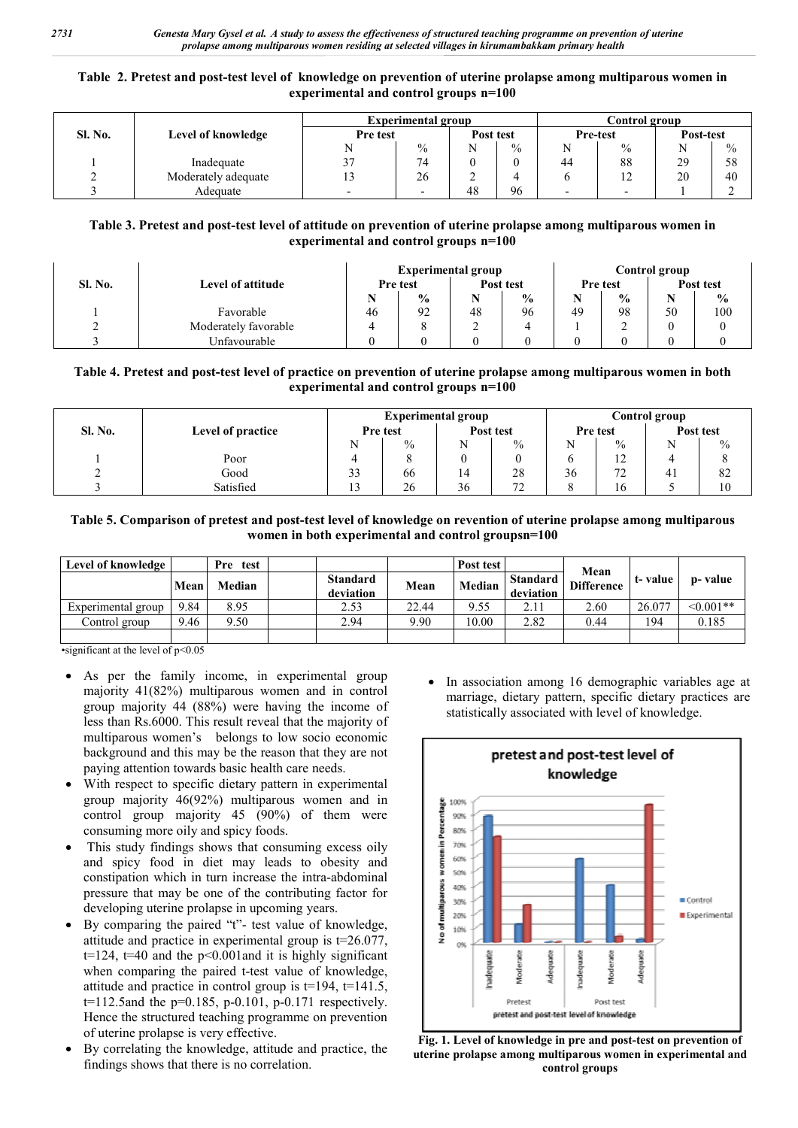### **Table 2. Pretest and post-test level of knowledge on prevention of uterine prolapse among multiparous women in experimental and control groups n=100**

|                |                     | <b>Experimental group</b> | Control group |           |               |          |                      |           |               |
|----------------|---------------------|---------------------------|---------------|-----------|---------------|----------|----------------------|-----------|---------------|
| <b>Sl. No.</b> | Level of knowledge  | Pre test                  |               | Post test |               | Pre-test |                      | Post-test |               |
|                |                     |                           | $\frac{0}{0}$ |           | $\frac{0}{0}$ |          | $\frac{0}{0}$        |           | $\frac{0}{0}$ |
|                | Inadequate          |                           | 74            |           |               | 44       | 88                   | 29        | 58            |
|                | Moderately adequate |                           | 26            |           |               |          | 12 <sub>1</sub><br>∸ | 20        | 40            |
|                | Adequate            |                           |               | 48        | 96            |          |                      |           |               |

## **Table 3. Pretest and post-test level of attitude on prevention of uterine prolapse among multiparous women in experimental and control groups n=100**

|         |                      | <b>Experimental group</b> |               |           |               |                 | Control group |           |               |  |
|---------|----------------------|---------------------------|---------------|-----------|---------------|-----------------|---------------|-----------|---------------|--|
| Sl. No. | Level of attitude    | Pre test                  |               | Post test |               | <b>Pre</b> test |               | Post test |               |  |
|         |                      |                           | $\frac{0}{0}$ |           | $\frac{0}{0}$ |                 | $\frac{0}{0}$ |           | $\frac{1}{2}$ |  |
|         | Favorable            | 46                        | 92            | 48        | 96            | 49              | 98            | 50        | 100           |  |
|         | Moderately favorable |                           |               |           |               |                 |               |           |               |  |
|         | Unfavourable         |                           |               |           |               |                 |               |           |               |  |

## **Table 4. Pretest and post-test level of practice on prevention of uterine prolapse among multiparous women in both experimental and control groups n=100**

|         |                   | <b>Experimental group</b> | Control group |           |                            |                 |                                 |           |      |
|---------|-------------------|---------------------------|---------------|-----------|----------------------------|-----------------|---------------------------------|-----------|------|
| Sl. No. | Level of practice | Pre test                  |               | Post test |                            | <b>Pre</b> test |                                 | Post test |      |
|         |                   | N                         | $\frac{0}{0}$ |           | $\%$                       |                 | $\frac{0}{0}$                   |           | $\%$ |
|         | Poor              |                           |               |           |                            |                 | $1^{\circ}$<br>$\overline{1}$   |           |      |
|         | Good              | 33                        | 66            | 14        | 28                         | 36              | $\overline{\phantom{a}}$<br>ے ، | 41        | 82   |
|         | Satisfied         | ຳ<br>ر د                  | 26            | 36        | $\overline{ }$<br><u>_</u> |                 | 16                              |           | 10   |

## **Table 5. Comparison of pretest and post-test level of knowledge on revention of uterine prolapse among multiparous women in both experimental and control groupsn=100**

| Level of knowledge |      | Pre test |                              |       | Post test |                              |                           | t-value | p- value       |
|--------------------|------|----------|------------------------------|-------|-----------|------------------------------|---------------------------|---------|----------------|
|                    | Mean | Median   | <b>Standard</b><br>deviation | Mean  | Median    | <b>Standard</b><br>deviation | Mean<br><b>Difference</b> |         |                |
| Experimental group | 9.84 | 8.95     | 2.53                         | 22.44 | 9.55      | 2.11                         | 2.60                      | 26.077  | $\leq 0.001**$ |
| Control group      | 9.46 | 9.50     | 2.94                         | 9.90  | 10.00     | 2.82                         | 0.44                      | 194     | 0.185          |
|                    |      |          |                              |       |           |                              |                           |         |                |

 $\cdot$ significant at the level of p<0.05

- As per the family income, in experimental group majority 41(82%) multiparous women and in control group majority 44 (88%) were having the income of less than Rs.6000. This result reveal that the majority of multiparous women's belongs to low socio economic background and this may be the reason that they are not paying attention towards basic health care needs.
- With respect to specific dietary pattern in experimental group majority 46(92%) multiparous women and in control group majority 45 (90%) of them were consuming more oily and spicy foods.
- This study findings shows that consuming excess oily and spicy food in diet may leads to obesity and constipation which in turn increase the intra-abdominal pressure that may be one of the contributing factor for developing uterine prolapse in upcoming years.
- By comparing the paired "t"- test value of knowledge, attitude and practice in experimental group is t=26.077,  $t=124$ ,  $t=40$  and the  $p<0.001$  and it is highly significant when comparing the paired t-test value of knowledge, attitude and practice in control group is  $t=194$ ,  $t=141.5$ , t=112.5and the p=0.185, p-0.101, p-0.171 respectively. Hence the structured teaching programme on prevention of uterine prolapse is very effective.
- By correlating the knowledge, attitude and practice, the findings shows that there is no correlation.

• In association among 16 demographic variables age at marriage, dietary pattern, specific dietary practices are statistically associated with level of knowledge.



**Fig. 1. Level of knowledge in pre and post-test on prevention of uterine prolapse among multiparous women in experimental and control groups**